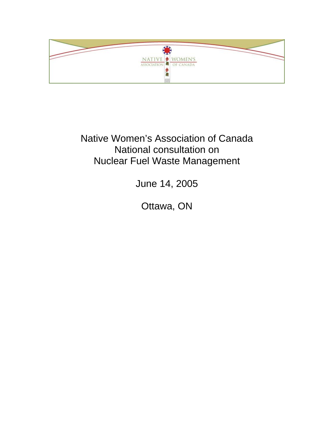

Native Women's Association of Canada National consultation on Nuclear Fuel Waste Management

June 14, 2005

Ottawa, ON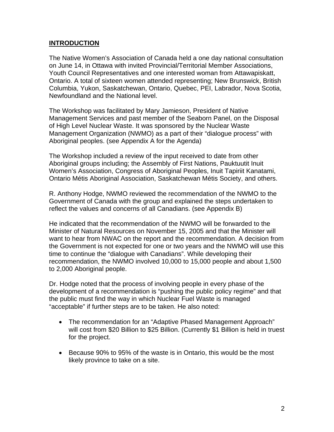### **INTRODUCTION**

The Native Women's Association of Canada held a one day national consultation on June 14, in Ottawa with invited Provincial/Territorial Member Associations, Youth Council Representatives and one interested woman from Attawapiskatt, Ontario. A total of sixteen women attended representing; New Brunswick, British Columbia, Yukon, Saskatchewan, Ontario, Quebec, PEI, Labrador, Nova Scotia, Newfoundland and the National level.

The Workshop was facilitated by Mary Jamieson, President of Native Management Services and past member of the Seaborn Panel, on the Disposal of High Level Nuclear Waste. It was sponsored by the Nuclear Waste Management Organization (NWMO) as a part of their "dialogue process" with Aboriginal peoples. (see Appendix A for the Agenda)

The Workshop included a review of the input received to date from other Aboriginal groups including; the Assembly of First Nations, Pauktuutit Inuit Women's Association, Congress of Aboriginal Peoples, Inuit Tapiriit Kanatami, Ontario Métis Aboriginal Association, Saskatchewan Métis Society, and others.

R. Anthony Hodge, NWMO reviewed the recommendation of the NWMO to the Government of Canada with the group and explained the steps undertaken to reflect the values and concerns of all Canadians. (see Appendix B)

He indicated that the recommendation of the NWMO will be forwarded to the Minister of Natural Resources on November 15, 2005 and that the Minister will want to hear from NWAC on the report and the recommendation. A decision from the Government is not expected for one or two years and the NWMO will use this time to continue the "dialogue with Canadians". While developing their recommendation, the NWMO involved 10,000 to 15,000 people and about 1,500 to 2,000 Aboriginal people.

Dr. Hodge noted that the process of involving people in every phase of the development of a recommendation is "pushing the public policy regime" and that the public must find the way in which Nuclear Fuel Waste is managed "acceptable" if further steps are to be taken. He also noted:

- The recommendation for an "Adaptive Phased Management Approach" will cost from \$20 Billion to \$25 Billion. (Currently \$1 Billion is held in truest for the project.
- Because 90% to 95% of the waste is in Ontario, this would be the most likely province to take on a site.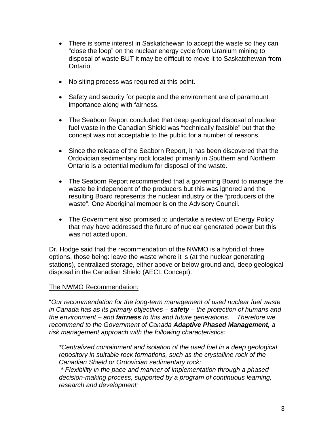- There is some interest in Saskatchewan to accept the waste so they can "close the loop" on the nuclear energy cycle from Uranium mining to disposal of waste BUT it may be difficult to move it to Saskatchewan from Ontario.
- No siting process was required at this point.
- Safety and security for people and the environment are of paramount importance along with fairness.
- The Seaborn Report concluded that deep geological disposal of nuclear fuel waste in the Canadian Shield was "technically feasible" but that the concept was not acceptable to the public for a number of reasons.
- Since the release of the Seaborn Report, it has been discovered that the Ordovician sedimentary rock located primarily in Southern and Northern Ontario is a potential medium for disposal of the waste.
- The Seaborn Report recommended that a governing Board to manage the waste be independent of the producers but this was ignored and the resulting Board represents the nuclear industry or the "producers of the waste". One Aboriginal member is on the Advisory Council.
- The Government also promised to undertake a review of Energy Policy that may have addressed the future of nuclear generated power but this was not acted upon.

Dr. Hodge said that the recommendation of the NWMO is a hybrid of three options, those being: leave the waste where it is (at the nuclear generating stations), centralized storage, either above or below ground and, deep geological disposal in the Canadian Shield (AECL Concept).

#### The NWMO Recommendation:

"*Our recommendation for the long-term management of used nuclear fuel waste in Canada has as its primary objectives – safety – the protection of humans and the environment – and fairness to this and future generations. Therefore we recommend to the Government of Canada Adaptive Phased Management, a risk management approach with the following characteristics:* 

*\*Centralized containment and isolation of the used fuel in a deep geological repository in suitable rock formations, such as the crystalline rock of the Canadian Shield or Ordovician sedimentary rock;* 

 *\* Flexibility in the pace and manner of implementation through a phased decision-making process, supported by a program of continuous learning, research and development;*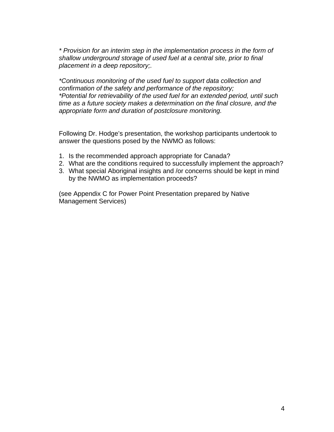*\* Provision for an interim step in the implementation process in the form of shallow underground storage of used fuel at a central site, prior to final placement in a deep repository;.* 

*\*Continuous monitoring of the used fuel to support data collection and confirmation of the safety and performance of the repository; \*Potential for retrievability of the used fuel for an extended period, until such time as a future society makes a determination on the final closure, and the appropriate form and duration of postclosure monitoring.* 

Following Dr. Hodge's presentation, the workshop participants undertook to answer the questions posed by the NWMO as follows:

- 1. Is the recommended approach appropriate for Canada?
- 2. What are the conditions required to successfully implement the approach?
- 3. What special Aboriginal insights and /or concerns should be kept in mind by the NWMO as implementation proceeds?

(see Appendix C for Power Point Presentation prepared by Native Management Services)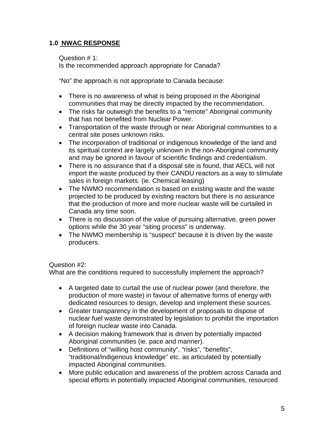# **1.0 NWAC RESPONSE**

Question # 1:

Is the recommended approach appropriate for Canada?

"No" the approach is not appropriate to Canada because:

- There is no awareness of what is being proposed in the Aboriginal communities that may be directly impacted by the recommendation.
- The risks far outweigh the benefits to a "remote" Aboriginal community that has not benefited from Nuclear Power.
- Transportation of the waste through or near Aboriginal communities to a central site poses unknown risks.
- The incorporation of traditional or indigenous knowledge of the land and its spiritual context are largely unknown in the non-Aboriginal community and may be ignored in favour of scientific findings and credentialism.
- There is no assurance that if a disposal site is found, that AECL will not import the waste produced by their CANDU reactors as a way to stimulate sales in foreign markets. (ie. Chemical leasing)
- The NWMO recommendation is based on existing waste and the waste projected to be produced by existing reactors but there is no assurance that the production of more and more nuclear waste will be curtailed in Canada any time soon.
- There is no discussion of the value of pursuing alternative, green power options while the 30 year "siting process" is underway.
- The NWMO membership is "suspect" because it is driven by the waste producers.

## Question #2:

What are the conditions required to successfully implement the approach?

- A targeted date to curtail the use of nuclear power (and therefore, the production of more waste) in favour of alternative forms of energy with dedicated resources to design, develop and implement these sources.
- Greater transparency in the development of proposals to dispose of nuclear fuel waste demonstrated by legislation to prohibit the importation of foreign nuclear waste into Canada.
- A decision making framework that is driven by potentially impacted Aboriginal communities (ie. pace and manner).
- Definitions of "willing host community", "risks", "benefits", "traditional/indigenous knowledge" etc. as articulated by potentially impacted Aboriginal communities.
- More public education and awareness of the problem across Canada and special efforts in potentially impacted Aboriginal communities, resourced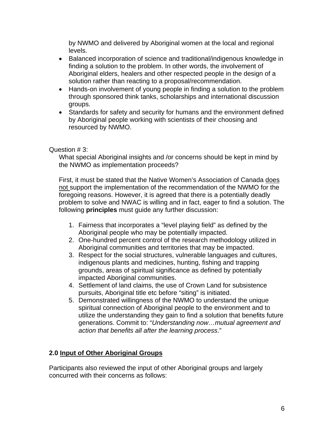by NWMO and delivered by Aboriginal women at the local and regional levels.

- Balanced incorporation of science and traditional/indigenous knowledge in finding a solution to the problem. In other words, the involvement of Aboriginal elders, healers and other respected people in the design of a solution rather than reacting to a proposal/recommendation.
- Hands-on involvement of young people in finding a solution to the problem through sponsored think tanks, scholarships and international discussion groups.
- Standards for safety and security for humans and the environment defined by Aboriginal people working with scientists of their choosing and resourced by NWMO.

### Question # 3:

What special Aboriginal insights and /or concerns should be kept in mind by the NWMO as implementation proceeds?

First, it must be stated that the Native Women's Association of Canada does not support the implementation of the recommendation of the NWMO for the foregoing reasons. However, it is agreed that there is a potentially deadly problem to solve and NWAC is willing and in fact, eager to find a solution. The following **principles** must guide any further discussion:

- 1. Fairness that incorporates a "level playing field" as defined by the Aboriginal people who may be potentially impacted.
- 2. One-hundred percent control of the research methodology utilized in Aboriginal communities and territories that may be impacted.
- 3. Respect for the social structures, vulnerable languages and cultures, indigenous plants and medicines, hunting, fishing and trapping grounds, areas of spiritual significance as defined by potentially impacted Aboriginal communities.
- 4. Settlement of land claims, the use of Crown Land for subsistence pursuits, Aboriginal title etc before "siting" is initiated.
- 5. Demonstrated willingness of the NWMO to understand the unique spiritual connection of Aboriginal people to the environment and to utilize the understanding they gain to find a solution that benefits future generations. Commit to: "*Understanding now…mutual agreement and action that benefits all after the learning process*."

## **2.0 Input of Other Aboriginal Groups**

Participants also reviewed the input of other Aboriginal groups and largely concurred with their concerns as follows: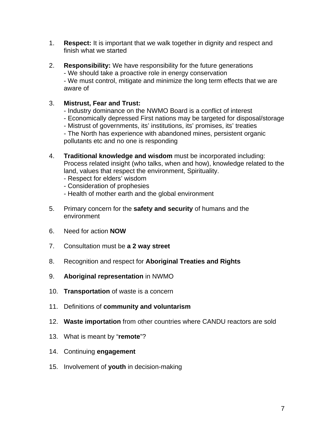- 1. **Respect:** It is important that we walk together in dignity and respect and finish what we started
- 2. **Responsibility:** We have responsibility for the future generations - We should take a proactive role in energy conservation - We must control, mitigate and minimize the long term effects that we are aware of

#### 3. **Mistrust, Fear and Trust:**

- Industry dominance on the NWMO Board is a conflict of interest
- Economically depressed First nations may be targeted for disposal/storage
- Mistrust of governments, its' institutions, its' promises, its' treaties

 - The North has experience with abandoned mines, persistent organic pollutants etc and no one is responding

- 4. **Traditional knowledge and wisdom** must be incorporated including: Process related insight (who talks, when and how), knowledge related to the land, values that respect the environment, Spirituality.
	- Respect for elders' wisdom
	- Consideration of prophesies
	- Health of mother earth and the global environment
- 5. Primary concern for the **safety and security** of humans and the environment
- 6. Need for action **NOW**
- 7. Consultation must be **a 2 way street**
- 8. Recognition and respect for **Aboriginal Treaties and Rights**
- 9. **Aboriginal representation** in NWMO
- 10. **Transportation** of waste is a concern
- 11. Definitions of **community and voluntarism**
- 12. **Waste importation** from other countries where CANDU reactors are sold
- 13. What is meant by "**remote**"?
- 14. Continuing **engagement**
- 15. Involvement of **youth** in decision-making